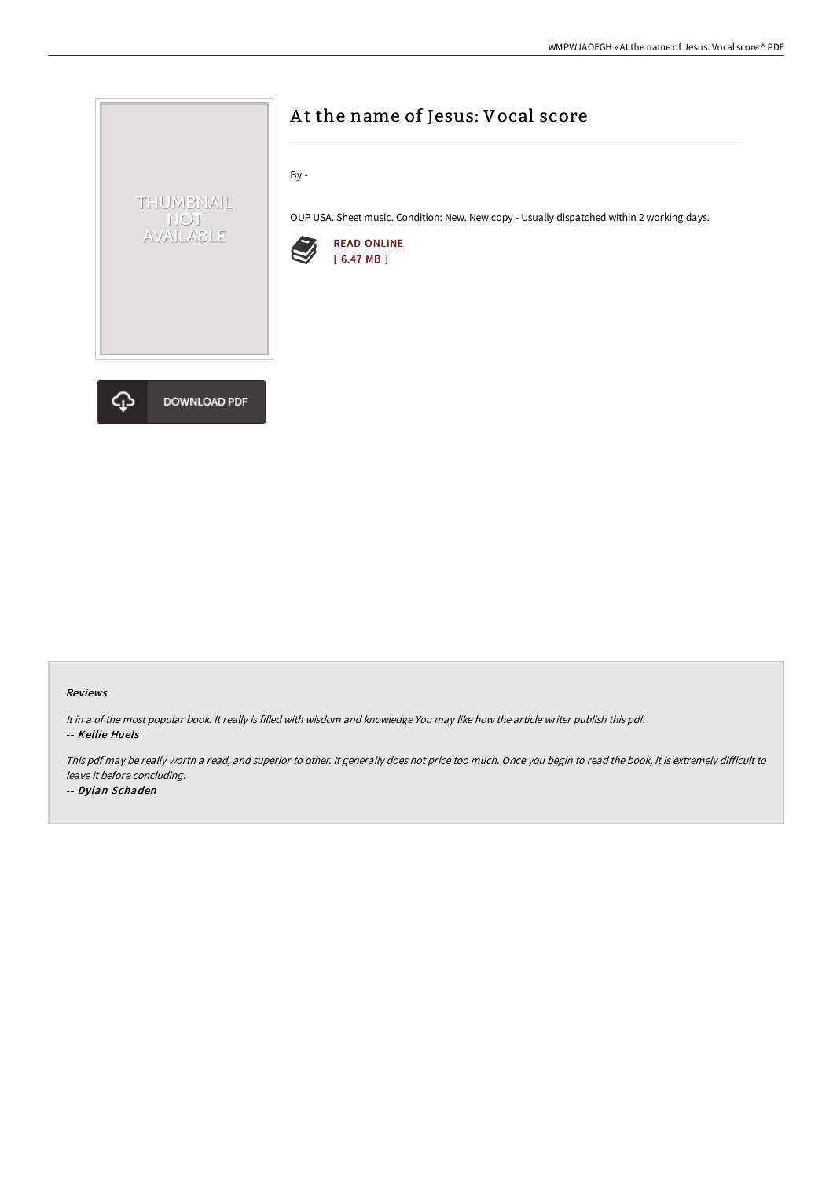



# A t the name of Jesus: Vocal score

By -

OUP USA. Sheet music. Condition: New. New copy - Usually dispatched within 2 working days.



#### Reviews

It in <sup>a</sup> of the most popular book. It really is filled with wisdom and knowledge You may like how the article writer publish this pdf. -- Kellie Huels

This pdf may be really worth a read, and superior to other. It generally does not price too much. Once you begin to read the book, it is extremely difficult to leave it before concluding.

-- Dylan Schaden